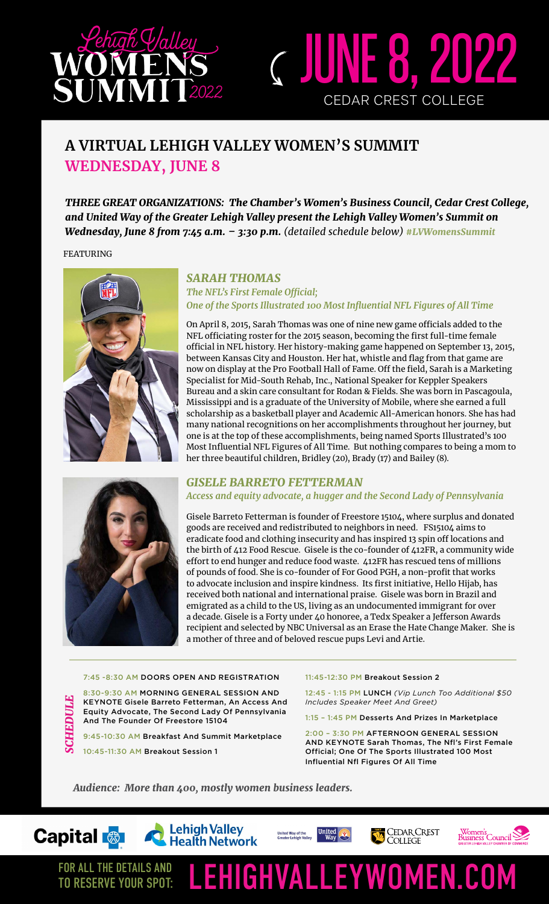

## **A VIRTUAL LEHIGH VALLEY WOMEN'S SUMMIT WEDNESDAY, JUNE 8**

*THREE GREAT ORGANIZATIONS: The Chamber's Women's Business Council, Cedar Crest College, and United Way of the Greater Lehigh Valley present the Lehigh Valley Women's Summit on Wednesday, June 8 from 7:45 a.m. – 3:30 p.m. (detailed schedule below) #LVWomensSummit*

FEATURING



## *SARAH THOMAS The NFL's First Female Official; One of the Sports Illustrated 100 Most Influential NFL Figures of All Time*

JUNE 8, 2022

CEDAR CREST COLLEGE

On April 8, 2015, Sarah Thomas was one of nine new game officials added to the NFL officiating roster for the 2015 season, becoming the first full-time female official in NFL history. Her history-making game happened on September 13, 2015, between Kansas City and Houston. Her hat, whistle and flag from that game are now on display at the Pro Football Hall of Fame. Off the field, Sarah is a Marketing Specialist for Mid-South Rehab, Inc., National Speaker for Keppler Speakers Bureau and a skin care consultant for Rodan & Fields. She was born in Pascagoula, Mississippi and is a graduate of the University of Mobile, where she earned a full scholarship as a basketball player and Academic All-American honors. She has had many national recognitions on her accomplishments throughout her journey, but one is at the top of these accomplishments, being named Sports Illustrated's 100 Most Influential NFL Figures of All Time. But nothing compares to being a mom to her three beautiful children, Bridley (20), Brady (17) and Bailey (8).

### *GISELE BARRETO FETTERMAN Access and equity advocate, a hugger and the Second Lady of Pennsylvania*

Gisele Barreto Fetterman is founder of Freestore 15104, where surplus and donated goods are received and redistributed to neighbors in need. FS15104 aims to eradicate food and clothing insecurity and has inspired 13 spin off locations and the birth of 412 Food Rescue. Gisele is the co-founder of 412FR, a community wide effort to end hunger and reduce food waste. 412FR has rescued tens of millions of pounds of food. She is co-founder of For Good PGH, a non-profit that works to advocate inclusion and inspire kindness. Its first initiative, Hello Hijab, has received both national and international praise. Gisele was born in Brazil and emigrated as a child to the US, living as an undocumented immigrant for over a decade. Gisele is a Forty under 40 honoree, a Tedx Speaker a Jefferson Awards recipient and selected by NBC Universal as an Erase the Hate Change Maker. She is a mother of three and of beloved rescue pups Levi and Artie.

#### 7:45 -8:30 AM DOORS OPEN AND REGISTRATION

8:30-9:30 AM MORNING GENERAL SESSION AND KEYNOTE Gisele Barreto Fetterman, An Access And Equity Advocate, The Second Lady Of Pennsylvania And The Founder Of Freestore 15104

9:45-10:30 AM Breakfast And Summit Marketplace

*SCHEDULE* **SCHEDUL** 10:45-11:30 AM Breakout Session 1

#### 11:45-12:30 PM Breakout Session 2

12:45 - 1:15 PM LUNCH *(Vip Lunch Too Additional \$50 Includes Speaker Meet And Greet)*

1:15 – 1:45 PM Desserts And Prizes In Marketplace

2:00 – 3:30 PM AFTERNOON GENERAL SESSION AND KEYNOTE Sarah Thomas, The Nfl's First Female Official; One Of The Sports Illustrated 100 Most Influential Nfl Figures Of All Time

*Audience: More than 400, mostly women business leaders.* 



TO RESERVE YOUR SPOT:



FOR ALL THE DETAILS AND LEHIGHVALLEYWOMEN.COM